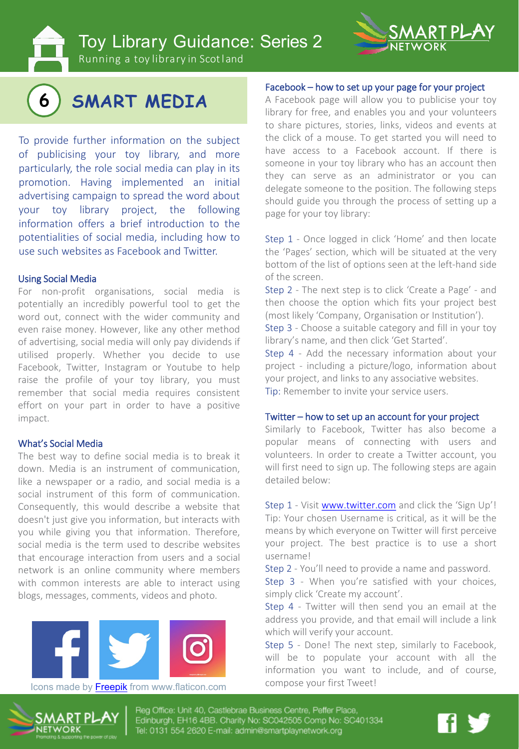Toy Library Guidance: Series 2

Running a toy library in Scotland



# **6 SMART MEDIA**

To provide further information on the subject of publicising your toy library, and more particularly, the role social media can play in its promotion. Having implemented an initial advertising campaign to spread the word about your toy library project, the following information offers a brief introduction to the potentialities of social media, including how to use such websites as Facebook and Twitter.

#### Using Social Media

For non-profit organisations, social media is potentially an incredibly powerful tool to get the word out, connect with the wider community and even raise money. However, like any other method of advertising, social media will only pay dividends if utilised properly. Whether you decide to use Facebook, Twitter, Instagram or Youtube to help raise the profile of your toy library, you must remember that social media requires consistent effort on your part in order to have a positive impact.

#### What's Social Media

The best way to define social media is to break it down. Media is an instrument of communication, like a newspaper or a radio, and social media is a social instrument of this form of communication. Consequently, this would describe a website that doesn't just give you information, but interacts with you while giving you that information. Therefore, social media is the term used to describe websites that encourage interaction from users and a social network is an online community where members with common interests are able to interact using blogs, messages, comments, videos and photo.



Icons made by Freepik from www.flaticon.com compose your first Tweet!

#### Facebook – how to set up your page for your project

A Facebook page will allow you to publicise your toy library for free, and enables you and your volunteers to share pictures, stories, links, videos and events at the click of a mouse. To get started you will need to have access to a Facebook account. If there is someone in your toy library who has an account then they can serve as an administrator or you can delegate someone to the position. The following steps should guide you through the process of setting up a page for your toy library:

Step 1 - Once logged in click 'Home' and then locate the 'Pages' section, which will be situated at the very bottom of the list of options seen at the left-hand side of the screen.

Step 2 - The next step is to click 'Create a Page' - and then choose the option which fits your project best (most likely 'Company, Organisation or Institution').

Step 3 - Choose a suitable category and fill in your toy library's name, and then click 'Get Started'.

Step 4 - Add the necessary information about your project - including a picture/logo, information about your project, and links to any associative websites. Tip: Remember to invite your service users.

#### Twitter – how to set up an account for your project

Similarly to Facebook, Twitter has also become a popular means of connecting with users and volunteers. In order to create a Twitter account, you will first need to sign up. The following steps are again detailed below:

Step 1 - Visit [www.twitter.com](http://www.twitter.com/) and click the 'Sign Up'! Tip: Your chosen Username is critical, as it will be the means by which everyone on Twitter will first perceive your project. The best practice is to use a short username!

Step 2 - You'll need to provide a name and password.

Step 3 - When you're satisfied with your choices, simply click 'Create my account'.

Step 4 - Twitter will then send you an email at the address you provide, and that email will include a link which will verify your account.

Step 5 - Done! The next step, similarly to Facebook, will be to populate your account with all the information you want to include, and of course,